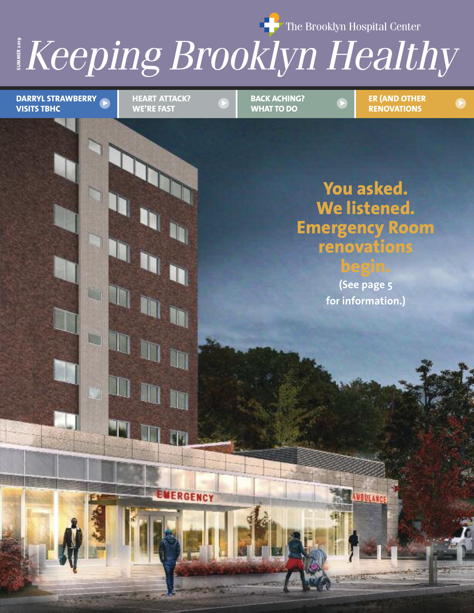The Brooklyn Hospital Center

*Meeping Br*  $\frac{1}{2}$  *Keeping Brooklyn Healthy* 

**HEART ATTACK? VISITS TBHC**

**HEART ATTACK? WE'RE FAST**

In

m

EMERGENCY

**BACK ACHING? WHAT TO DO**

**ER (AND OTHER RENOVATIONS** > FIEART ATTACK? > BACK ACHING? > ER (AND OTHER )

### **You asked. We listened. Emergency Room renovations begin.**

**(See page 5 for information.)**

**AVBULANC** 

**STATISTICS**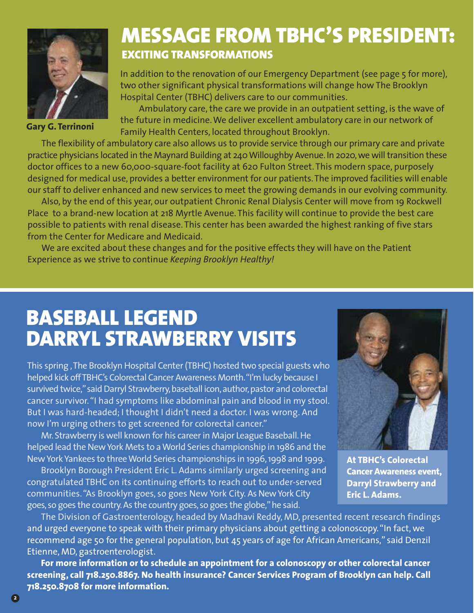

**Gary G. Terrinoni**

## **MESSAGE FROM TBHC'S PRESIDENT: EXCITING TRANSFORMATIONS**

In addition to the renovation of our Emergency Department (see page 5 for more), two other significant physical transformations will change how The Brooklyn Hospital Center (TBHC) delivers care to our communities.

Ambulatory care, the care we provide in an outpatient setting, is the wave of the future in medicine.We deliver excellent ambulatory care in our network of Family Health Centers, located throughout Brooklyn.

The flexibility of ambulatory care also allows us to provide service through our primary care and private practice physicians located in the Maynard Building at 240 Willoughby Avenue. In 2020, we will transition these doctor offices to a new 60,000-square-foot facility at 620 Fulton Street. This modern space, purposely designed for medical use, provides a better environment for our patients.The improved facilities will enable our staff to deliver enhanced and new services to meet the growing demands in our evolving community.

Also, by the end of this year, our outpatient Chronic Renal Dialysis Center will move from 19 Rockwell Place to a brand-new location at 218 Myrtle Avenue. This facility will continue to provide the best care possible to patients with renal disease. This center has been awarded the highest ranking of five stars from the Center for Medicare and Medicaid.

We are excited about these changes and for the positive effects they will have on the Patient Experience as we strive to continue *Keeping Brooklyn Healthy!*

## **BASEBALL LEGEND DARRYL STRAWBERRY VISITS**

This spring, The Brooklyn Hospital Center (TBHC) hosted two special guests who helped kick off TBHC's Colorectal Cancer Awareness Month. "I'm lucky because I survived twice," said Darryl Strawberry, baseball icon, author, pastor and colorectal cancer survivor."I had symptoms like abdominal pain and blood in my stool. But I was hard-headed; I thought I didn't need a doctor. I was wrong. And now I'm urging others to get screened for colorectal cancer."

Mr. Strawberry is well known for his career in Major League Baseball. He helped lead the New York Mets to a World Series championship in 1986 and the NewYork Yankees to threeWorld Series championships in 1996,1998 and 1999.

Brooklyn Borough President Eric L. Adams similarly urged screening and congratulated TBHC on its continuing efforts to reach out to under-served communities. "As Brooklyn goes, so goes New York City. As New York City goes, so goes the country.As the country goes, so goes the globe,"he said.



**At TBHC's Colorectal Cancer Awareness event, Darryl Strawberry and Eric L. Adams.**

The Division of Gastroenterology, headed by Madhavi Reddy, MD, presented recent research findings and urged everyone to speak with their primary physicians about getting a colonoscopy. "In fact, we recommend age 50 for the general population, but 45 years of age for African Americans," said Denzil Etienne, MD, gastroenterologist.

**For more information or to schedule an appointment for a colonoscopy or other colorectal cancer screening, call 718.250.8867. No health insurance? Cancer Services Program of Brooklyn can help. Call 718.250.8708 for more information.**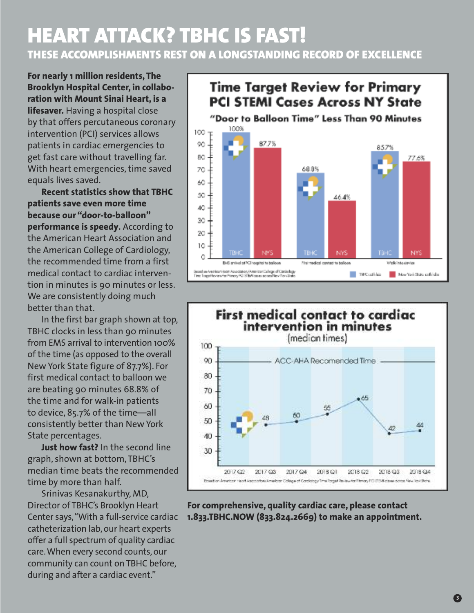### **HEART ATTACK? TBHC IS FAST! THESE ACCOMPLISHMENTS REST ON A LONGSTANDING RECORD OF EXCELLENCE**

**For nearly 1 million residents, The Brooklyn Hospital Center, in collaboration with Mount Sinai Heart, is a lifesaver.** Having a hospital close by that offers percutaneous coronary intervention (PCI) services allows patients in cardiac emergencies to get fast care without travelling far. With heart emergencies, time saved equals lives saved.

**Recent statistics show that TBHC patients save even more time because our "door-to-balloon" performance is speedy.** According to the American Heart Association and the American College of Cardiology, the recommended time from a first medical contact to cardiac intervention in minutes is 90 minutes or less. We are consistently doing much better than that.

In the first bar graph shown at top, TBHC clocks in less than 90 minutes from EMS arrival to intervention 100% of the time (as opposed to the overall New York State figure of 87.7%). For first medical contact to balloon we are beating 90 minutes 68.8% of the time and for walk-in patients to device, 85.7% of the time—all consistently better than New York State percentages.

**Just how fast?** In the second line graph, shown at bottom, TBHC's median time beats the recommended time by more than half.

Srinivas Kesanakurthy, MD, Director of TBHC's Brooklyn Heart Center says,"With a full-service cardiac catheterization lab, our heart experts offer a full spectrum of quality cardiac care.When every second counts, our community can count on TBHC before, during and after a cardiac event."

### **Time Target Review for Primary PCI STEMI Cases Across NY State**





#### **For comprehensive, quality cardiac care, please contact 1.833.TBHC.NOW (833.824.2669) to make an appointment.**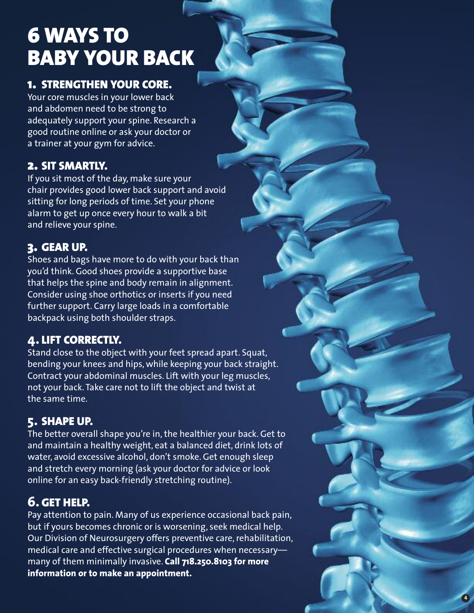# **6 WAYS TO BABY YOUR BACK**

#### 1. STRENGTHEN YOUR CORE.

Your core muscles in your lower back and abdomen need to be strong to adequately support your spine. Research a good routine online or ask your doctor or a trainer at your gym for advice.

#### **2 . S I T S M A RT LY.**

If you sit most of the day, make sure your chair provides good lower back support and avoid sitting for long periods of time. Set your phone alarm to get up once every hour to walk a bit and relieve your spine.

#### **3 . G E A R U P.**

Shoes and bags have more to do with your back than you'd think. Good shoes provide a supportive base that helps the spine and body remain in alignment. Consider using shoe orthotics or inserts if you need further support. Carry large loads in a comfortable backpack using both shoulder straps.

#### **4 . L I F T C O R R E C T LY.**

Stand close to the object with your feet spread apart. Squat, bending your knees and hips, while keeping your back straight. Contract your abdominal muscles. Lift with your leg muscles, not your back. Take care not to lift the object and twist at the same time.

#### **5**. SHAPE UP.

The better overall shape you're in, the healthier your back. Get to and maintain a healthy weight, eat a balanced diet, drink lots of water, avoid excessive alcohol, don't smoke. Get enough sleep and stretch every morning (ask your doctor for advice or look online for an easy back-friendly stretching routine).

### **6 . G E T H E L P.**

Pay attention to pain. Many of us experience occasional back pain, but if yours becomes chronic or is worsening, seek medical help. Our Division of Neurosurgery offers preventive care, rehabilitation, medical care and effective surgical procedures when necessary many of them minimally invasive. **Call 718.250.8103 for more** information or to make an appointment.

**4**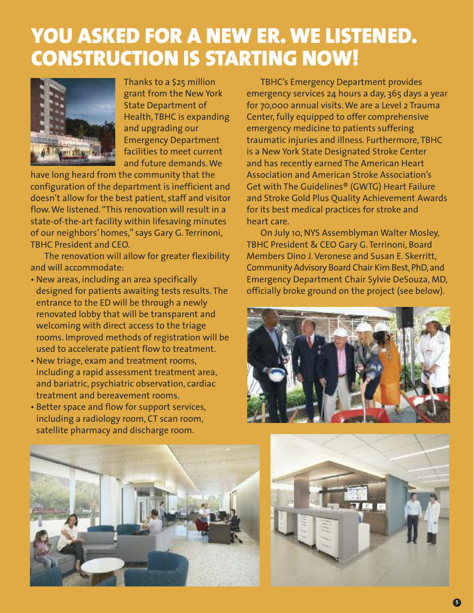## **YOU ASKED FOR A NEW ER. WE LISTENED. CONSTRUCTION IS STARTING NOW!**



Thanks to a \$25 million grant from the New York State Department of Health, TBHC is expanding and upgrading our Emergency Department facilities to meet current and future demands.We

have long heard from the community that the configuration of the department is inefficient and doesn't allow for the best patient, staff and visitor flow.We listened."This renovation will result in a state-of-the-art facility within lifesaving minutes of our neighbors' homes," says Gary G. Terrinoni, TBHC President and CEO.

The renovation will allow for greater flexibility and will accommodate:

- New areas, including an area specifically designed for patients awaiting tests results. The entrance to the ED will be through a newly renovated lobby that will be transparent and welcoming with direct access to the triage rooms. Improved methods of registration will be used to accelerate patient flow to treatment.
- New triage, exam and treatment rooms, including a rapid assessment treatment area, and bariatric, psychiatric observation, cardiac treatment and bereavement rooms.
- Better space and flow for support services, including a radiology room, CT scan room, satellite pharmacy and discharge room.

TBHC's Emergency Department provides emergency services 24 hours a day, 365 days a year for 70,000 annual visits.We are a Level 2 Trauma Center, fully equipped to offer comprehensive emergency medicine to patients suffering traumatic injuries and illness. Furthermore, TBHC is a New York State Designated Stroke Center and has recently earned The American Heart Association and American Stroke Association's Get with The Guidelines® (GWTG) Heart Failure and Stroke Gold Plus Quality Achievement Awards for its best medical practices for stroke and heart care.

On July 10, NYS Assemblyman Walter Mosley, TBHC President & CEO Gary G. Terrinoni, Board Members Dino J.Veronese and Susan E. Skerritt, Community Advisory Board Chair Kim Best,PhD,and Emergency Department Chair Sylvie DeSouza, MD, officially broke ground on the project (see below).